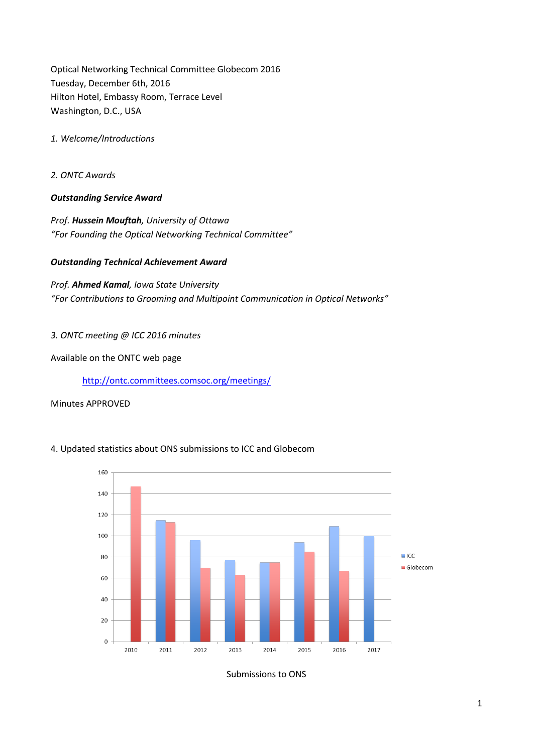Optical Networking Technical Committee Globecom 2016 Tuesday, December 6th, 2016 Hilton Hotel, Embassy Room, Terrace Level Washington, D.C., USA

*1. Welcome/Introductions*

*2. ONTC Awards*

## *Outstanding Service Award*

*Prof. Hussein Mouftah, University of Ottawa "For Founding the Optical Networking Technical Committee"*

## *Outstanding Technical Achievement Award*

*Prof. Ahmed Kamal, Iowa State University "For Contributions to Grooming and Multipoint Communication in Optical Networks"*

#### *3. ONTC meeting @ ICC 2016 minutes*

Available on the ONTC web page

<http://ontc.committees.comsoc.org/meetings/>

Minutes APPROVED



# 4. Updated statistics about ONS submissions to ICC and Globecom

Submissions to ONS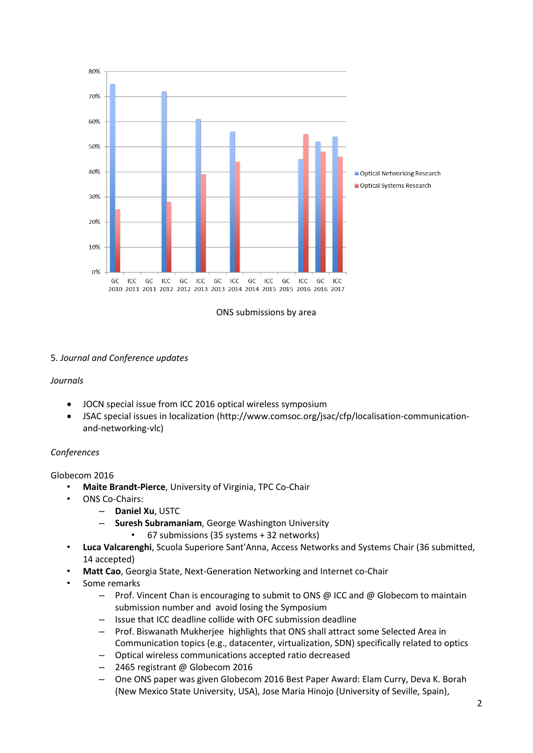



# 5. *Journal and Conference updates*

#### *Journals*

- JOCN special issue from ICC 2016 optical wireless symposium
- JSAC special issues in localization (http://www.comsoc.org/jsac/cfp/localisation-communicationand-networking-vlc)

#### *Conferences*

### Globecom 2016

- **Maite Brandt-Pierce**, University of Virginia, TPC Co-Chair
- ONS Co-Chairs:
	- **Daniel Xu**, USTC
	- **Suresh Subramaniam**, George Washington University
		- 67 submissions (35 systems + 32 networks)
- **Luca Valcarenghi**, Scuola Superiore Sant'Anna, Access Networks and Systems Chair (36 submitted, 14 accepted)
- **Matt Cao**, Georgia State, Next-Generation Networking and Internet co-Chair
- Some remarks
	- Prof. Vincent Chan is encouraging to submit to ONS @ ICC and @ Globecom to maintain submission number and avoid losing the Symposium
	- Issue that ICC deadline collide with OFC submission deadline
	- Prof. Biswanath Mukherjee highlights that ONS shall attract some Selected Area in Communication topics (e.g., datacenter, virtualization, SDN) specifically related to optics
	- Optical wireless communications accepted ratio decreased
	- 2465 registrant @ Globecom 2016
	- One ONS paper was given Globecom 2016 Best Paper Award: Elam Curry, Deva K. Borah (New Mexico State University, USA), Jose Maria Hinojo (University of Seville, Spain),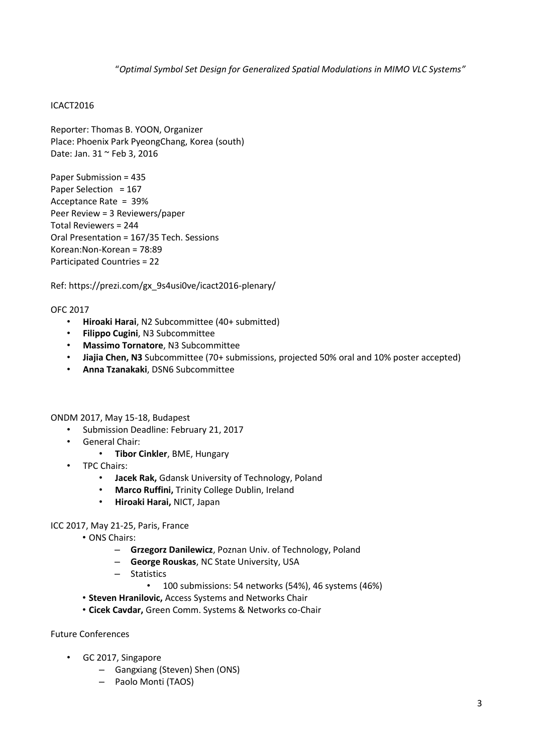"*Optimal Symbol Set Design for Generalized Spatial Modulations in MIMO VLC Systems"*

## ICACT2016

Reporter: Thomas B. YOON, Organizer Place: Phoenix Park PyeongChang, Korea (south) Date: Jan. 31 ~ Feb 3, 2016

Paper Submission = 435 Paper Selection = 167 Acceptance Rate = 39% Peer Review = 3 Reviewers/paper Total Reviewers = 244 Oral Presentation = 167/35 Tech. Sessions Korean:Non-Korean = 78:89 Participated Countries = 22

Ref: https://prezi.com/gx\_9s4usi0ve/icact2016-plenary/

OFC 2017

- **Hiroaki Harai**, N2 Subcommittee (40+ submitted)
- **Filippo Cugini**, N3 Subcommittee
- **Massimo Tornatore**, N3 Subcommittee
- **Jiajia Chen, N3** Subcommittee (70+ submissions, projected 50% oral and 10% poster accepted)
- **Anna Tzanakaki**, DSN6 Subcommittee

ONDM 2017, May 15-18, Budapest

- Submission Deadline: February 21, 2017
- General Chair:
	- **Tibor Cinkler**, BME, Hungary
- TPC Chairs:
	- **Jacek Rak,** Gdansk University of Technology, Poland
	- **Marco Ruffini,** Trinity College Dublin, Ireland
	- **Hiroaki Harai,** NICT, Japan

#### ICC 2017, May 21-25, Paris, France

- ONS Chairs:
	- **Grzegorz Danilewicz**, Poznan Univ. of Technology, Poland
	- **George Rouskas**, NC State University, USA
	- Statistics
		- 100 submissions: 54 networks (54%), 46 systems (46%)
- **Steven Hranilovic,** Access Systems and Networks Chair
- **Cicek Cavdar,** Green Comm. Systems & Networks co-Chair

Future Conferences

- GC 2017, Singapore
	- Gangxiang (Steven) Shen (ONS)
	- Paolo Monti (TAOS)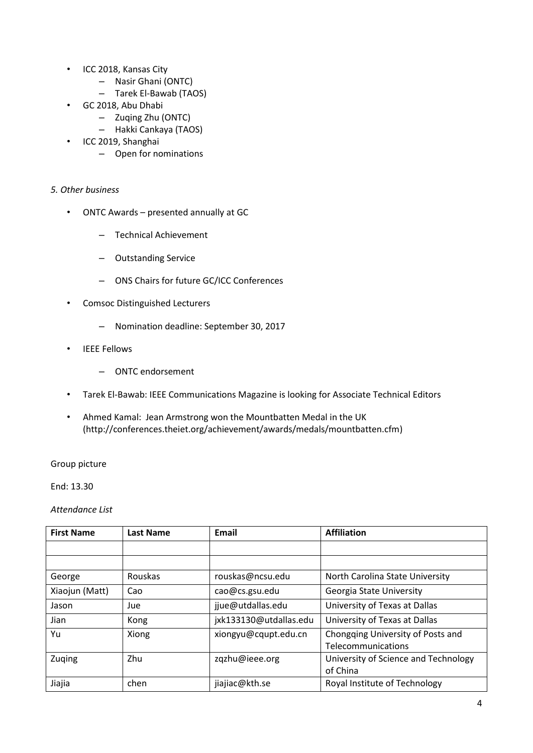- ICC 2018, Kansas City
	- Nasir Ghani (ONTC)
	- Tarek El-Bawab (TAOS)
- GC 2018, Abu Dhabi
	- Zuqing Zhu (ONTC)
	- Hakki Cankaya (TAOS)
- ICC 2019, Shanghai
	- Open for nominations

## *5. Other business*

- ONTC Awards presented annually at GC
	- Technical Achievement
	- Outstanding Service
	- ONS Chairs for future GC/ICC Conferences
- Comsoc Distinguished Lecturers
	- Nomination deadline: September 30, 2017
- IEEE Fellows
	- ONTC endorsement
- Tarek El-Bawab: IEEE Communications Magazine is looking for Associate Technical Editors
- Ahmed Kamal: Jean Armstrong won the Mountbatten Medal in the UK (http://conferences.theiet.org/achievement/awards/medals/mountbatten.cfm)

### Group picture

End: 13.30

*Attendance List*

| <b>First Name</b> | <b>Last Name</b> | Email                  | <b>Affiliation</b>                                      |
|-------------------|------------------|------------------------|---------------------------------------------------------|
|                   |                  |                        |                                                         |
|                   |                  |                        |                                                         |
| George            | Rouskas          | rouskas@ncsu.edu       | North Carolina State University                         |
| Xiaojun (Matt)    | Cao              | cao@cs.gsu.edu         | Georgia State University                                |
| Jason             | Jue              | jjue@utdallas.edu      | University of Texas at Dallas                           |
| Jian              | Kong             | jxk133130@utdallas.edu | University of Texas at Dallas                           |
| Yu                | Xiong            | xiongyu@cqupt.edu.cn   | Chongqing University of Posts and<br>Telecommunications |
| Zuging            | Zhu              | zqzhu@ieee.org         | University of Science and Technology<br>of China        |
| Jiajia            | chen             | jiajiac@kth.se         | Royal Institute of Technology                           |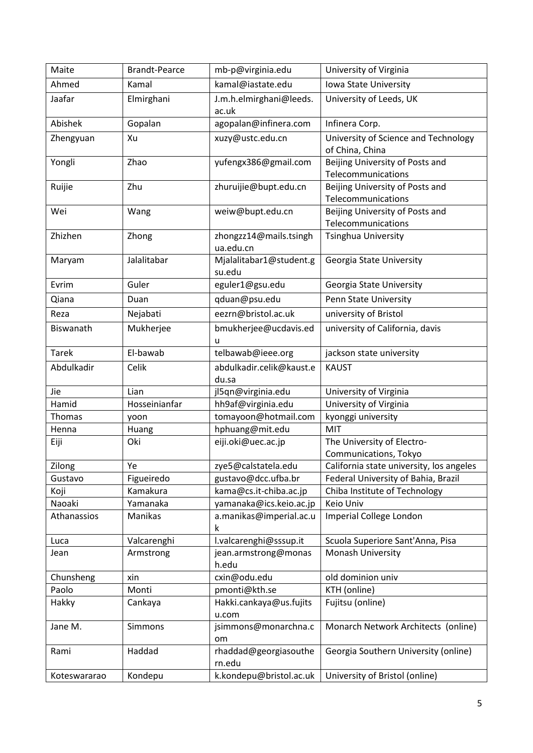| Maite        | <b>Brandt-Pearce</b> | mb-p@virginia.edu                | University of Virginia                                |
|--------------|----------------------|----------------------------------|-------------------------------------------------------|
| Ahmed        | Kamal                | kamal@iastate.edu                | Iowa State University                                 |
| Jaafar       | Elmirghani           | J.m.h.elmirghani@leeds.<br>ac.uk | University of Leeds, UK                               |
| Abishek      | Gopalan              | agopalan@infinera.com            | Infinera Corp.                                        |
| Zhengyuan    | Xu                   | xuzy@ustc.edu.cn                 | University of Science and Technology                  |
|              |                      |                                  | of China, China                                       |
| Yongli       | Zhao                 | yufengx386@gmail.com             | Beijing University of Posts and                       |
|              |                      |                                  | Telecommunications                                    |
| Ruijie       | Zhu                  | zhuruijie@bupt.edu.cn            | Beijing University of Posts and                       |
|              |                      |                                  | Telecommunications                                    |
| Wei          | Wang                 | weiw@bupt.edu.cn                 | Beijing University of Posts and<br>Telecommunications |
| Zhizhen      | Zhong                | zhongzz14@mails.tsingh           | Tsinghua University                                   |
|              |                      | ua.edu.cn                        |                                                       |
| Maryam       | Jalalitabar          | Mjalalitabar1@student.g          | Georgia State University                              |
|              |                      | su.edu                           |                                                       |
| Evrim        | Guler                | eguler1@gsu.edu                  | Georgia State University                              |
| Qiana        | Duan                 | qduan@psu.edu                    | Penn State University                                 |
| Reza         | Nejabati             | eezrn@bristol.ac.uk              | university of Bristol                                 |
| Biswanath    | Mukherjee            | bmukherjee@ucdavis.ed            | university of California, davis                       |
|              |                      | u                                |                                                       |
| <b>Tarek</b> | El-bawab             | telbawab@ieee.org                | jackson state university                              |
| Abdulkadir   | Celik                | abdulkadir.celik@kaust.e         | <b>KAUST</b>                                          |
|              |                      | du.sa                            |                                                       |
| Jie          | Lian                 | jl5qn@virginia.edu               | University of Virginia                                |
| Hamid        | Hosseinianfar        | hh9af@virginia.edu               | University of Virginia                                |
| Thomas       | yoon                 | tomayoon@hotmail.com             | kyonggi university                                    |
| Henna        | Huang                | hphuang@mit.edu                  | MIT                                                   |
| Eiji         | Oki                  | eiji.oki@uec.ac.jp               | The University of Electro-                            |
|              |                      |                                  | Communications, Tokyo                                 |
| Zilong       | Ye                   | zye5@calstatela.edu              | California state university, los angeles              |
| Gustavo      | Figueiredo           | gustavo@dcc.ufba.br              | Federal University of Bahia, Brazil                   |
| Koji         | Kamakura             | kama@cs.it-chiba.ac.jp           | Chiba Institute of Technology                         |
| Naoaki       | Yamanaka             | yamanaka@ics.keio.ac.jp          | Keio Univ                                             |
| Athanassios  | Manikas              | a.manikas@imperial.ac.u<br>k     | Imperial College London                               |
| Luca         | Valcarenghi          | l.valcarenghi@sssup.it           | Scuola Superiore Sant'Anna, Pisa                      |
| Jean         | Armstrong            | jean.armstrong@monas<br>h.edu    | Monash University                                     |
| Chunsheng    | xin                  | cxin@odu.edu                     | old dominion univ                                     |
| Paolo        | Monti                | pmonti@kth.se                    | KTH (online)                                          |
| Hakky        | Cankaya              | Hakki.cankaya@us.fujits          | Fujitsu (online)                                      |
|              |                      | u.com                            |                                                       |
| Jane M.      | Simmons              | jsimmons@monarchna.c             | Monarch Network Architects (online)                   |
|              |                      | om                               |                                                       |
| Rami         | Haddad               | rhaddad@georgiasouthe            | Georgia Southern University (online)                  |
|              |                      | rn.edu                           |                                                       |
| Koteswararao | Kondepu              | k.kondepu@bristol.ac.uk          | University of Bristol (online)                        |